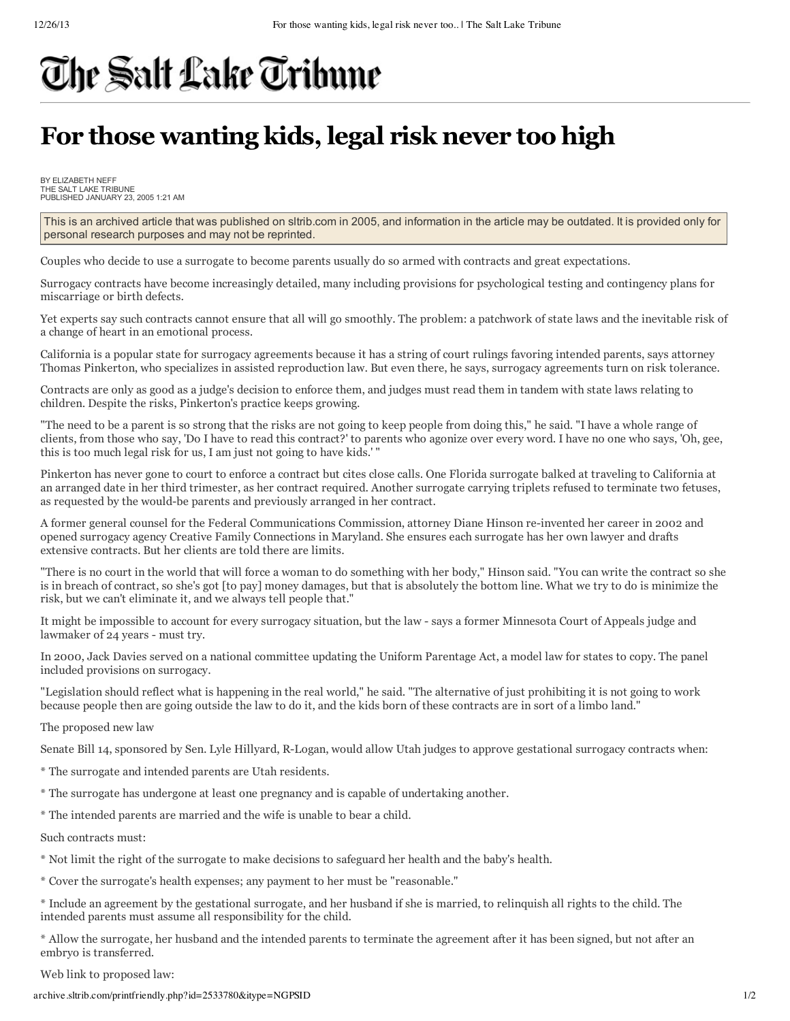## The Salt Lake Tribune

## **For those wanting kids, legal risk never too high**

BY ELIZABETH NEFF THE SALT LAKE TRIBUNE PUBLISHED JANUARY 23, 2005 1:21 AM

This is an archived article that was published on sltrib.com in 2005, and information in the article may be outdated. It is provided only for personal research purposes and may not be reprinted.

Couples who decide to use a surrogate to become parents usually do so armed with contracts and great expectations.

Surrogacy contracts have become increasingly detailed, many including provisions for psychological testing and contingency plans for miscarriage or birth defects.

Yet experts say such contracts cannot ensure that all will go smoothly. The problem: a patchwork of state laws and the inevitable risk of a change of heart in an emotional process.

California is a popular state for surrogacy agreements because it has a string of court rulings favoring intended parents, says attorney Thomas Pinkerton, who specializes in assisted reproduction law. But even there, he says, surrogacy agreements turn on risk tolerance.

Contracts are only as good as a judge's decision to enforce them, and judges must read them in tandem with state laws relating to children. Despite the risks, Pinkerton's practice keeps growing.

"The need to be a parent is so strong that the risks are not going to keep people from doing this," he said. "I have a whole range of clients, from those who say, 'Do I have to read this contract?' to parents who agonize over every word. I have no one who says, 'Oh, gee, this is too much legal risk for us, I am just not going to have kids.' "

Pinkerton has never gone to court to enforce a contract but cites close calls. One Florida surrogate balked at traveling to California at an arranged date in her third trimester, as her contract required. Another surrogate carrying triplets refused to terminate two fetuses, as requested by the would-be parents and previously arranged in her contract.

A former general counsel for the Federal Communications Commission, attorney Diane Hinson re-invented her career in 2002 and opened surrogacy agency Creative Family Connections in Maryland. She ensures each surrogate has her own lawyer and drafts extensive contracts. But her clients are told there are limits.

"There is no court in the world that will force a woman to do something with her body," Hinson said. "You can write the contract so she is in breach of contract, so she's got [to pay] money damages, but that is absolutely the bottom line. What we try to do is minimize the risk, but we can't eliminate it, and we always tell people that."

It might be impossible to account for every surrogacy situation, but the law - says a former Minnesota Court of Appeals judge and lawmaker of 24 years - must try.

In 2000, Jack Davies served on a national committee updating the Uniform Parentage Act, a model law for states to copy. The panel included provisions on surrogacy.

"Legislation should reflect what is happening in the real world," he said. "The alternative of just prohibiting it is not going to work because people then are going outside the law to do it, and the kids born of these contracts are in sort of a limbo land."

The proposed new law

Senate Bill 14, sponsored by Sen. Lyle Hillyard, R-Logan, would allow Utah judges to approve gestational surrogacy contracts when:

- \* The surrogate and intended parents are Utah residents.
- \* The surrogate has undergone at least one pregnancy and is capable of undertaking another.
- \* The intended parents are married and the wife is unable to bear a child.

Such contracts must:

- \* Not limit the right of the surrogate to make decisions to safeguard her health and the baby's health.
- \* Cover the surrogate's health expenses; any payment to her must be "reasonable."

\* Include an agreement by the gestational surrogate, and her husband if she is married, to relinquish all rights to the child. The intended parents must assume all responsibility for the child.

\* Allow the surrogate, her husband and the intended parents to terminate the agreement after it has been signed, but not after an embryo is transferred.

Web link to proposed law:

archive.sltrib.com/printfriendly.php?id=2533780&itype=NGPSID 1/2